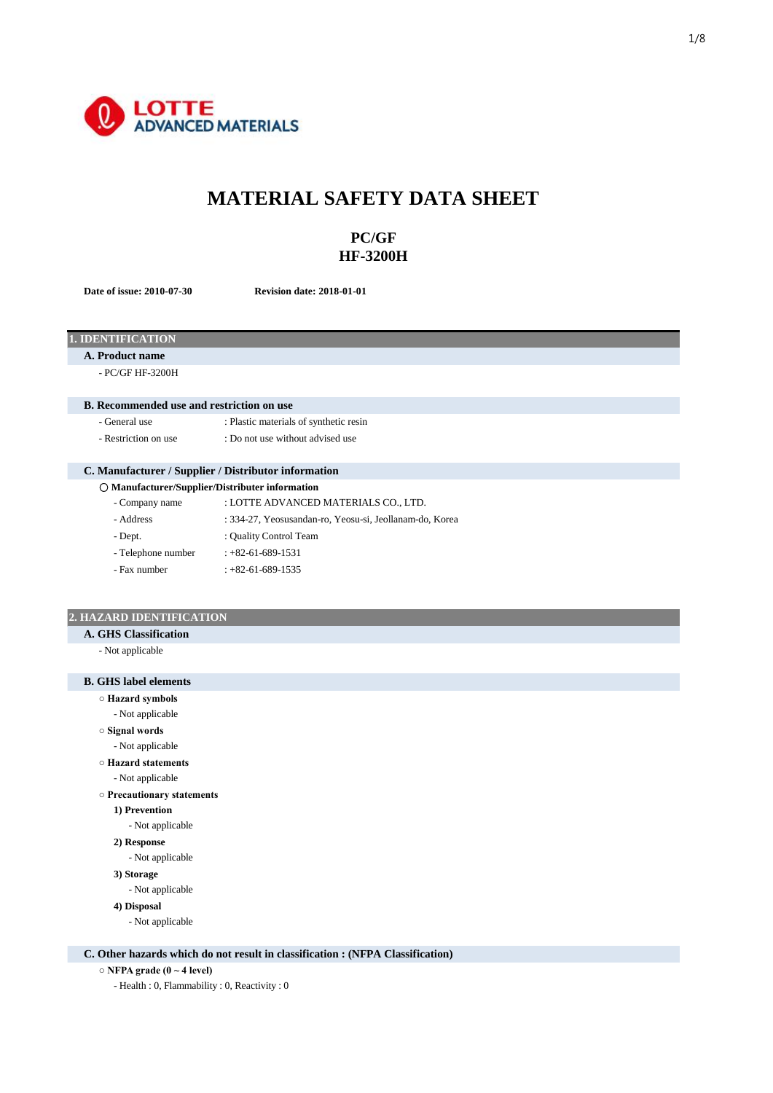

# **MATERIAL SAFETY DATA SHEET**

# **PC/GF HF-3200H**

**Date of issue: 2010-07-30 Revision date: 2018-01-01**

# **1. IDENTIFICATION**

**A. Product name**

- PC/GF HF-3200H

## **B. Recommended use and restriction on use**

- General use : Plastic materials of synthetic resin
	-
- Restriction on use : Do not use without advised use

# **C. Manufacturer / Supplier / Distributor information**

| O Manufacturer/Supplier/Distributer information |                                                         |  |
|-------------------------------------------------|---------------------------------------------------------|--|
| - Company name                                  | : LOTTE ADVANCED MATERIALS CO., LTD.                    |  |
| - Address                                       | : 334-27, Yeosusandan-ro, Yeosu-si, Jeollanam-do, Korea |  |
| - Dept.                                         | : Quality Control Team                                  |  |
| - Telephone number                              | $: +82 - 61 - 689 - 1531$                               |  |
| - Fax number                                    | $: +82 - 61 - 689 - 1535$                               |  |
|                                                 |                                                         |  |

## **2. HAZARD IDENTIFICATION**

**A. GHS Classification**

- Not applicable

# **B. GHS label elements**

**○ Hazard symbols**

- **Signal words** - Not applicable
- Not applicable
- **Hazard statements**
- Not applicable

**○ Precautionary statements**

- **1) Prevention**
- Not applicable
- **2) Response**

- Not applicable

- **3) Storage**
- Not applicable
- **4) Disposal**
	- Not applicable

### **C. Other hazards which do not result in classification : (NFPA Classification)**

- **NFPA grade (0 ~ 4 level)**
	- Health : 0, Flammability : 0, Reactivity : 0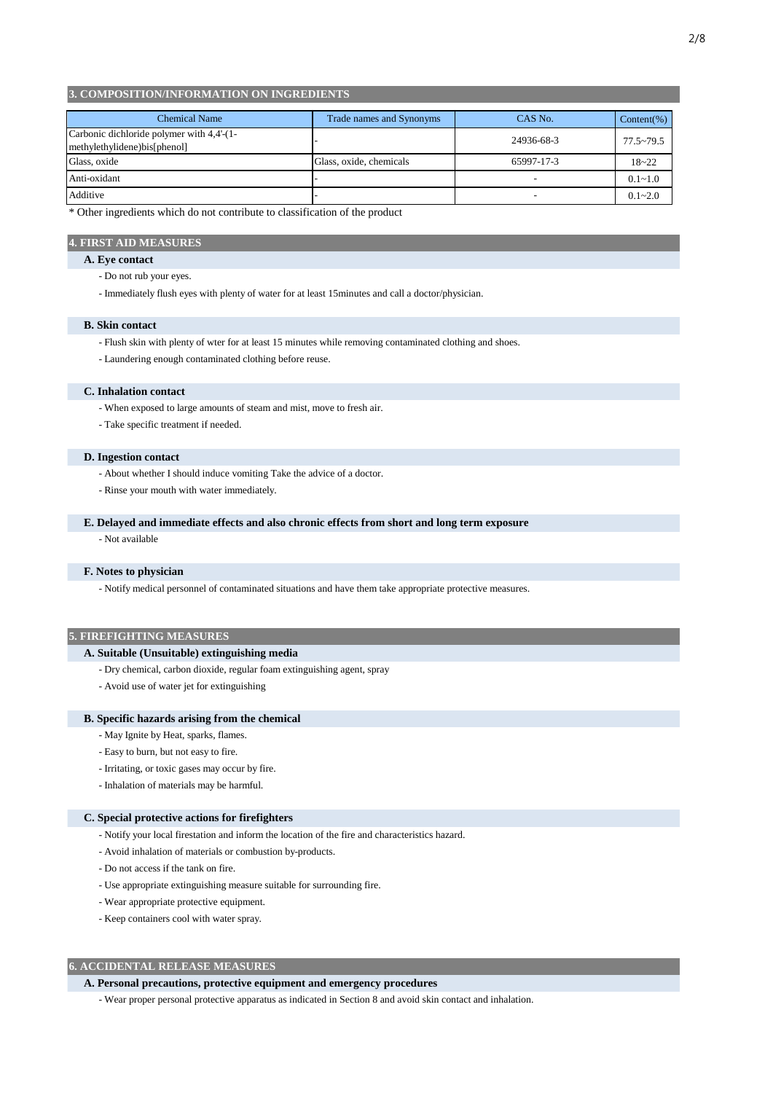## **3. COMPOSITION/INFORMATION ON INGREDIENTS**

| <b>Chemical Name</b>                                                      | Trade names and Synonyms | CAS No.                  | Content(%)    |
|---------------------------------------------------------------------------|--------------------------|--------------------------|---------------|
| Carbonic dichloride polymer with 4,4'-(1-<br>methylethylidene)bis[phenol] |                          | 24936-68-3               | $77.5 - 79.5$ |
| Glass, oxide                                                              | Glass, oxide, chemicals  | 65997-17-3               | $18 - 22$     |
| Anti-oxidant                                                              |                          | -                        | $0.1 - 1.0$   |
| Additive                                                                  |                          | $\overline{\phantom{a}}$ | $0.1 - 2.0$   |

\* Other ingredients which do not contribute to classification of the product

### **4. FIRST AID MEASURES**

## **A. Eye contact**

- Do not rub your eyes.
- Immediately flush eyes with plenty of water for at least 15minutes and call a doctor/physician.

### **B. Skin contact**

- Flush skin with plenty of wter for at least 15 minutes while removing contaminated clothing and shoes.
- Laundering enough contaminated clothing before reuse.

## **C. Inhalation contact**

- When exposed to large amounts of steam and mist, move to fresh air.
- Take specific treatment if needed.

### **D. Ingestion contact**

- About whether I should induce vomiting Take the advice of a doctor.
- Rinse your mouth with water immediately.

### **E. Delayed and immediate effects and also chronic effects from short and long term exposure**

- Not available

### **F. Notes to physician**

- Notify medical personnel of contaminated situations and have them take appropriate protective measures.

## **5. FIREFIGHTING MEASURES**

## **A. Suitable (Unsuitable) extinguishing media**

- Dry chemical, carbon dioxide, regular foam extinguishing agent, spray
- Avoid use of water jet for extinguishing

### **B. Specific hazards arising from the chemical**

- May Ignite by Heat, sparks, flames.
- Easy to burn, but not easy to fire.
- Irritating, or toxic gases may occur by fire.
- Inhalation of materials may be harmful.

### **C. Special protective actions for firefighters**

- Notify your local firestation and inform the location of the fire and characteristics hazard.
- Avoid inhalation of materials or combustion by-products.
- Do not access if the tank on fire.
- Use appropriate extinguishing measure suitable for surrounding fire.
- Wear appropriate protective equipment.
- Keep containers cool with water spray.

## **6. ACCIDENTAL RELEASE MEASURES**

### **A. Personal precautions, protective equipment and emergency procedures**

- Wear proper personal protective apparatus as indicated in Section 8 and avoid skin contact and inhalation.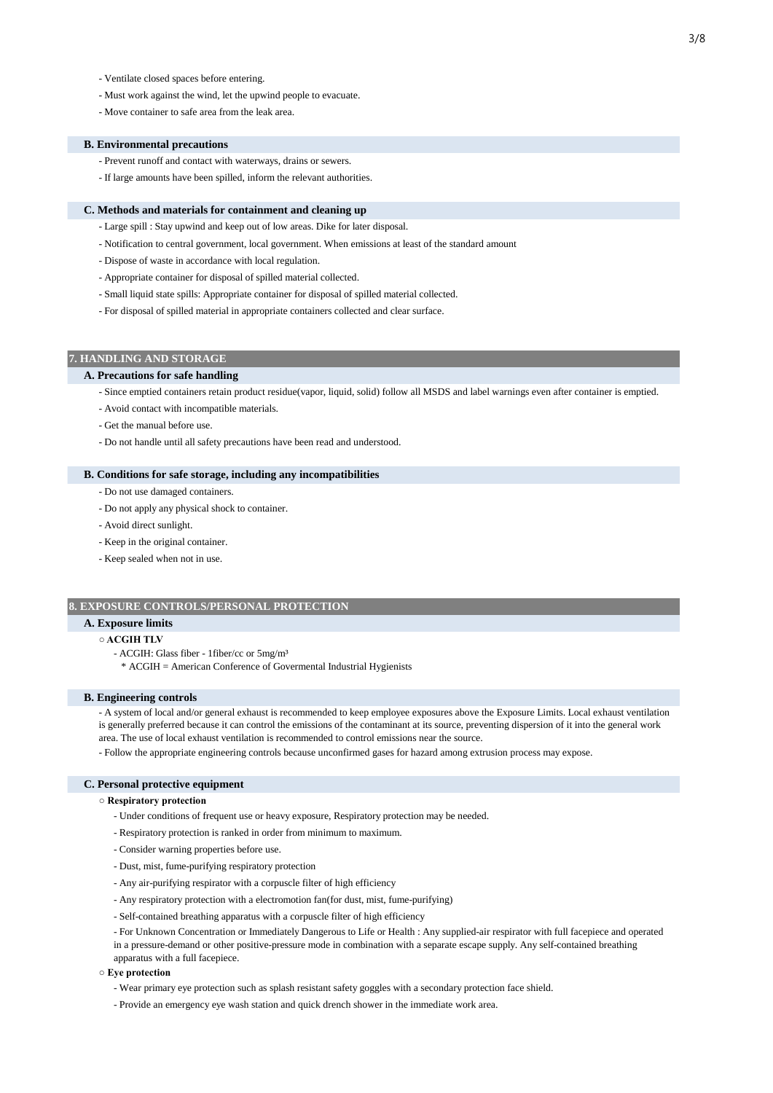- Ventilate closed spaces before entering.
- Must work against the wind, let the upwind people to evacuate.
- Move container to safe area from the leak area.

### **B. Environmental precautions**

- Prevent runoff and contact with waterways, drains or sewers.
- If large amounts have been spilled, inform the relevant authorities.

### **C. Methods and materials for containment and cleaning up**

- Large spill : Stay upwind and keep out of low areas. Dike for later disposal.
- Notification to central government, local government. When emissions at least of the standard amount
- Dispose of waste in accordance with local regulation.
- Appropriate container for disposal of spilled material collected.
- Small liquid state spills: Appropriate container for disposal of spilled material collected.
- For disposal of spilled material in appropriate containers collected and clear surface.

## **7. HANDLING AND STORAGE**

## **A. Precautions for safe handling**

- Since emptied containers retain product residue(vapor, liquid, solid) follow all MSDS and label warnings even after container is emptied.
- Avoid contact with incompatible materials.
- Get the manual before use.
- Do not handle until all safety precautions have been read and understood.

## **B. Conditions for safe storage, including any incompatibilities**

- Do not use damaged containers.
- Do not apply any physical shock to container.
- Avoid direct sunlight.
- Keep in the original container.
- Keep sealed when not in use.

### **8. EXPOSURE CONTROLS/PERSONAL PROTECTION**

## **A. Exposure limits**

### **○ ACGIH TLV**

- ACGIH: Glass fiber 1fiber/cc or 5mg/m³
- \* ACGIH = American Conference of Govermental Industrial Hygienists

### **B. Engineering controls**

- A system of local and/or general exhaust is recommended to keep employee exposures above the Exposure Limits. Local exhaust ventilation is generally preferred because it can control the emissions of the contaminant at its source, preventing dispersion of it into the general work area. The use of local exhaust ventilation is recommended to control emissions near the source.

- Follow the appropriate engineering controls because unconfirmed gases for hazard among extrusion process may expose.

### **C. Personal protective equipment**

### **○ Respiratory protection**

- Under conditions of frequent use or heavy exposure, Respiratory protection may be needed.
- Respiratory protection is ranked in order from minimum to maximum.
- Consider warning properties before use.
- Dust, mist, fume-purifying respiratory protection
- Any air-purifying respirator with a corpuscle filter of high efficiency
- Any respiratory protection with a electromotion fan(for dust, mist, fume-purifying)
- Self-contained breathing apparatus with a corpuscle filter of high efficiency

- For Unknown Concentration or Immediately Dangerous to Life or Health : Any supplied-air respirator with full facepiece and operated in a pressure-demand or other positive-pressure mode in combination with a separate escape supply. Any self-contained breathing

apparatus with a full facepiece.

## **○ Eye protection**

- Wear primary eye protection such as splash resistant safety goggles with a secondary protection face shield.
- Provide an emergency eye wash station and quick drench shower in the immediate work area.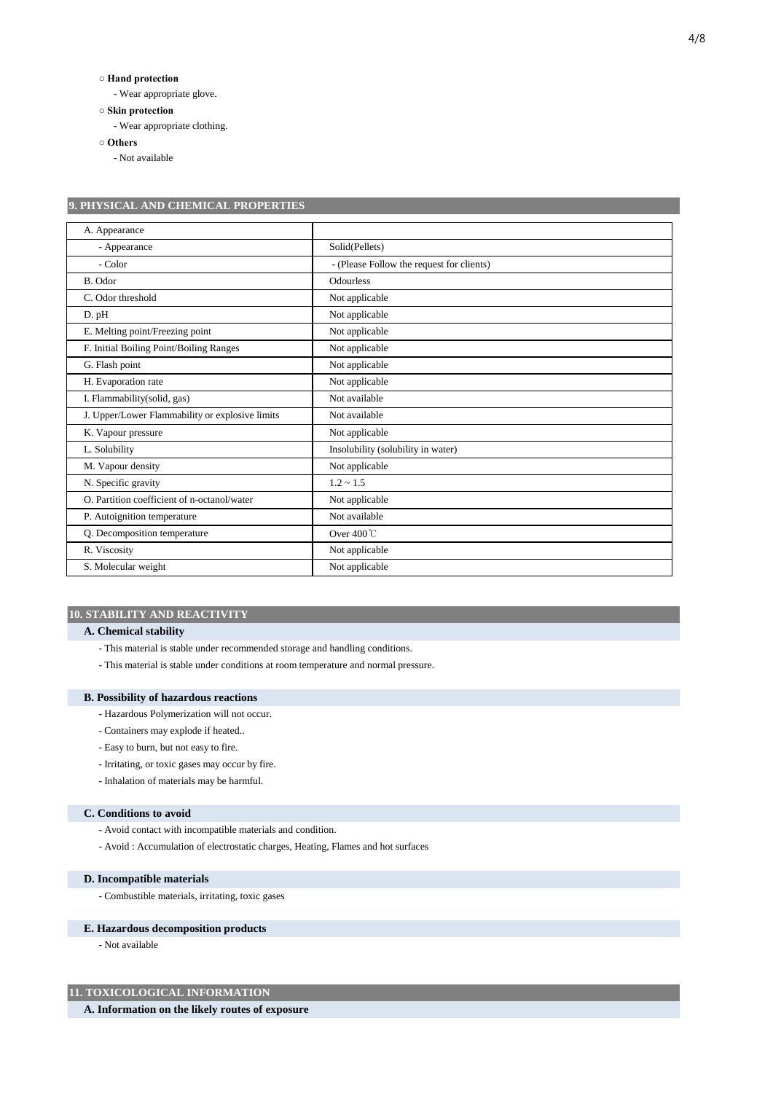## **○ Hand protection**

- Wear appropriate glove.

**○ Skin protection**

- Wear appropriate clothing.

**○ Others**

- Not available

| 9. PHYSICAL AND CHEMICAL PROPERTIES             |                                           |  |  |
|-------------------------------------------------|-------------------------------------------|--|--|
| A. Appearance                                   |                                           |  |  |
| - Appearance                                    | Solid(Pellets)                            |  |  |
| - Color                                         | - (Please Follow the request for clients) |  |  |
| B. Odor                                         | Odourless                                 |  |  |
| C. Odor threshold                               | Not applicable                            |  |  |
| D. pH                                           | Not applicable                            |  |  |
| E. Melting point/Freezing point                 | Not applicable                            |  |  |
| F. Initial Boiling Point/Boiling Ranges         | Not applicable                            |  |  |
| G. Flash point                                  | Not applicable                            |  |  |
| H. Evaporation rate                             | Not applicable                            |  |  |
| I. Flammability(solid, gas)                     | Not available                             |  |  |
| J. Upper/Lower Flammability or explosive limits | Not available                             |  |  |
| K. Vapour pressure                              | Not applicable                            |  |  |
| L. Solubility                                   | Insolubility (solubility in water)        |  |  |
| M. Vapour density                               | Not applicable                            |  |  |
| N. Specific gravity                             | $1.2 \sim 1.5$                            |  |  |
| O. Partition coefficient of n-octanol/water     | Not applicable                            |  |  |
| P. Autoignition temperature                     | Not available                             |  |  |
| Q. Decomposition temperature                    | Over $400^{\circ}$ C                      |  |  |
| R. Viscosity                                    | Not applicable                            |  |  |
| S. Molecular weight                             | Not applicable                            |  |  |

## **10. STABILITY AND REACTIVITY**

## **A. Chemical stability**

- This material is stable under recommended storage and handling conditions.

- This material is stable under conditions at room temperature and normal pressure.

## **B. Possibility of hazardous reactions**

- Hazardous Polymerization will not occur.
- Containers may explode if heated..
- Easy to burn, but not easy to fire.
- Irritating, or toxic gases may occur by fire.

- Inhalation of materials may be harmful.

### **C. Conditions to avoid**

- Avoid contact with incompatible materials and condition.
- Avoid : Accumulation of electrostatic charges, Heating, Flames and hot surfaces

### **D. Incompatible materials**

- Combustible materials, irritating, toxic gases

# **E. Hazardous decomposition products**

- Not available

# **11. TOXICOLOGICAL INFORMATION**

**A. Information on the likely routes of exposure**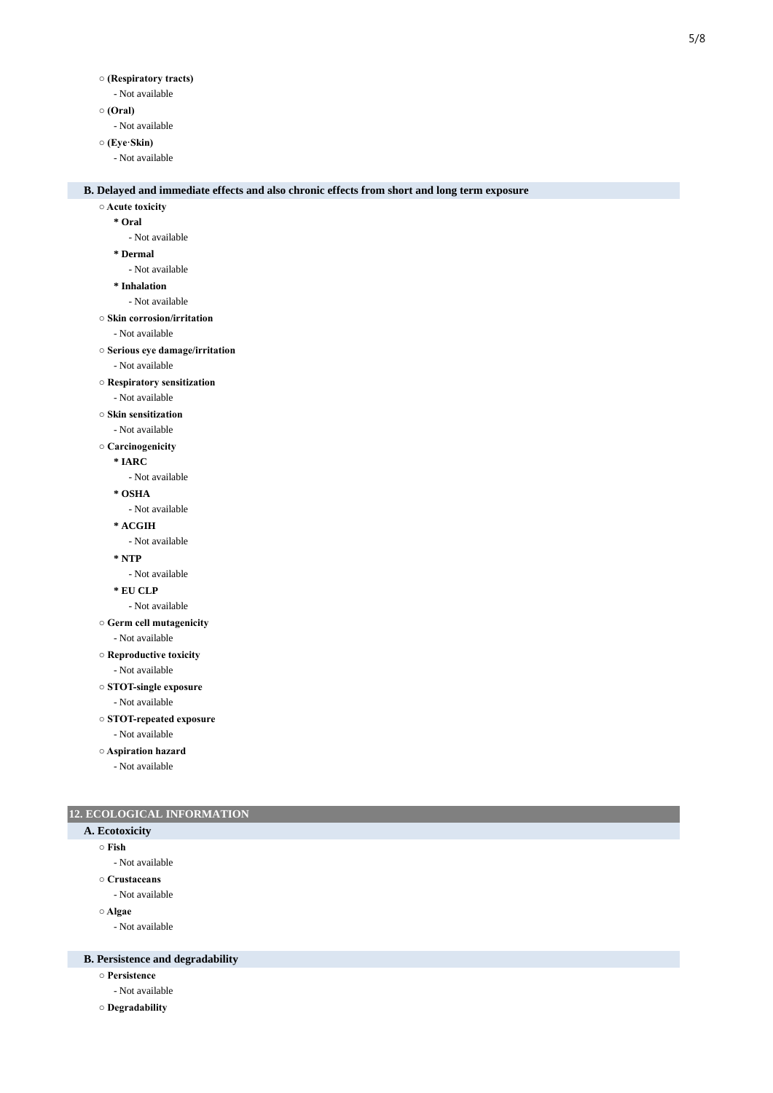- Not available

# **○ (Oral)**

- Not available

# **○ (Eye·Skin)**

- Not available

## **B. Delayed and immediate effects and also chronic effects from short and long term exposure**

#### **○ Acute toxicity**

**\* Oral**

- Not available

#### **\* Dermal**

- Not available

**\* Inhalation**

- Not available

**○ Skin corrosion/irritation**

## - Not available

- **Serious eye damage/irritation**
	- Not available

### **○ Respiratory sensitization**

- Not available

#### **○ Skin sensitization**

- Not available
- **Carcinogenicity**
	- **\* IARC**

### - Not available

**\* OSHA**

- Not available

- **\* ACGIH**
	- Not available
- **\* NTP**
- Not available

```
* EU CLP
```
- Not available
- **Germ cell mutagenicity**

```
- Not available
```
- **Reproductive toxicity**
	- Not available
- **STOT-single exposure**
	- Not available
- **STOT-repeated exposure**
	- Not available
- **Aspiration hazard**

- Not available

## **12. ECOLOGICAL INFORMATION**

## **A. Ecotoxicity**

- **Fish**
	- Not available
- **Crustaceans**
	- Not available
- **Algae**
	- Not available

## **B. Persistence and degradability**

- **Persistence**
	- Not available
- **Degradability**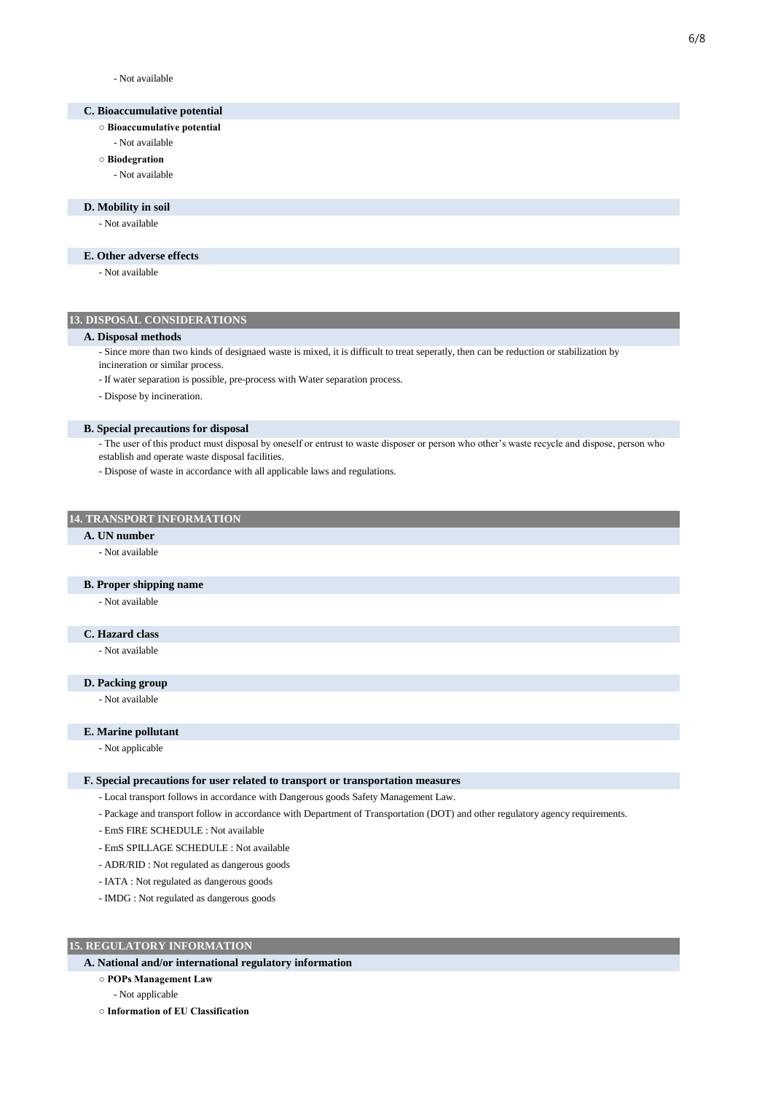- Not available

## **C. Bioaccumulative potential**

- **Bioaccumulative potential**
- Not available

# **○ Biodegration**

- Not available

## **D. Mobility in soil**

- Not available

## **E. Other adverse effects**

- Not available

## **13. DISPOSAL CONSIDERATIONS**

### **A. Disposal methods**

- Since more than two kinds of designaed waste is mixed, it is difficult to treat seperatly, then can be reduction or stabilization by
- incineration or similar process.
- If water separation is possible, pre-process with Water separation process.
- Dispose by incineration.

### **B. Special precautions for disposal**

- The user of this product must disposal by oneself or entrust to waste disposer or person who other's waste recycle and dispose, person who establish and operate waste disposal facilities.
- Dispose of waste in accordance with all applicable laws and regulations.

## **14. TRANSPORT INFORMATION**

## **A. UN number**

- Not available

### **B. Proper shipping name**

- Not available

# **C. Hazard class**

- Not available

# **D. Packing group**

- Not available

## **E. Marine pollutant**

- Not applicable

### **F. Special precautions for user related to transport or transportation measures**

- Local transport follows in accordance with Dangerous goods Safety Management Law.
- Package and transport follow in accordance with Department of Transportation (DOT) and other regulatory agency requirements.
- EmS FIRE SCHEDULE : Not available
- EmS SPILLAGE SCHEDULE : Not available
- ADR/RID : Not regulated as dangerous goods
- IATA : Not regulated as dangerous goods
- IMDG : Not regulated as dangerous goods

# **15. REGULATORY INFORMATION**

# **A. National and/or international regulatory information**

- **POPs Management Law**
- Not applicable
- **Information of EU Classification**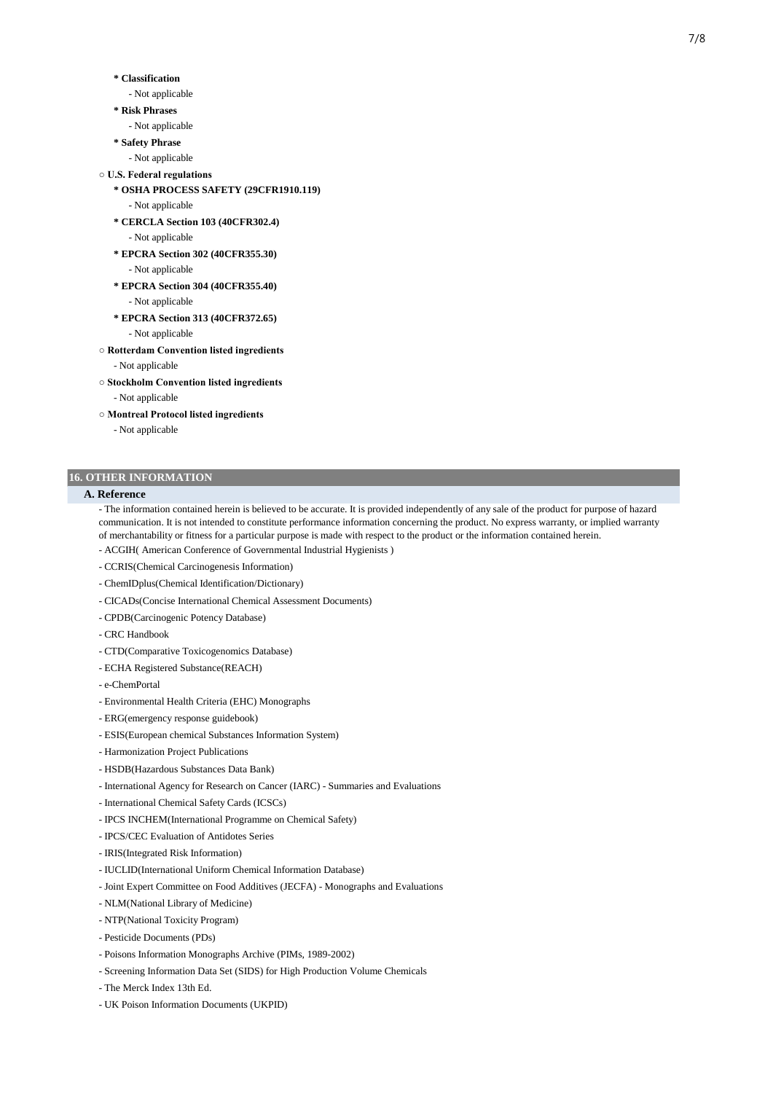### **\* Classification**

- Not applicable
- **\* Risk Phrases**
	- Not applicable
- **\* Safety Phrase**
- Not applicable
- **U.S. Federal regulations**
	- **\* OSHA PROCESS SAFETY (29CFR1910.119)** - Not applicable
	- **\* CERCLA Section 103 (40CFR302.4)** - Not applicable
	- **\* EPCRA Section 302 (40CFR355.30)** - Not applicable
	- **\* EPCRA Section 304 (40CFR355.40)** - Not applicable
	- **\* EPCRA Section 313 (40CFR372.65)**
		- Not applicable
- **Rotterdam Convention listed ingredients**
	- Not applicable
- **Stockholm Convention listed ingredients**
	- Not applicable
- **Montreal Protocol listed ingredients**
	- Not applicable

### **16. OTHER INFORMATION**

### **A. Reference**

- The information contained herein is believed to be accurate. It is provided independently of any sale of the product for purpose of hazard communication. It is not intended to constitute performance information concerning the product. No express warranty, or implied warranty of merchantability or fitness for a particular purpose is made with respect to the product or the information contained herein.

- ACGIH( American Conference of Governmental Industrial Hygienists )
- CCRIS(Chemical Carcinogenesis Information)
- ChemIDplus(Chemical Identification/Dictionary)
- CICADs(Concise International Chemical Assessment Documents)
- CPDB(Carcinogenic Potency Database)
- CRC Handbook
- CTD(Comparative Toxicogenomics Database)
- ECHA Registered Substance(REACH)
- e-ChemPortal
- Environmental Health Criteria (EHC) Monographs
- ERG(emergency response guidebook)
- ESIS(European chemical Substances Information System)
- Harmonization Project Publications
- HSDB(Hazardous Substances Data Bank)
- International Agency for Research on Cancer (IARC) Summaries and Evaluations
- International Chemical Safety Cards (ICSCs)
- IPCS INCHEM(International Programme on Chemical Safety)
- IPCS/CEC Evaluation of Antidotes Series
- IRIS(Integrated Risk Information)
- IUCLID(International Uniform Chemical Information Database)
- Joint Expert Committee on Food Additives (JECFA) Monographs and Evaluations
- NLM(National Library of Medicine)
- NTP(National Toxicity Program)
- Pesticide Documents (PDs)
- Poisons Information Monographs Archive (PIMs, 1989-2002)
- Screening Information Data Set (SIDS) for High Production Volume Chemicals
- The Merck Index 13th Ed.
- UK Poison Information Documents (UKPID)